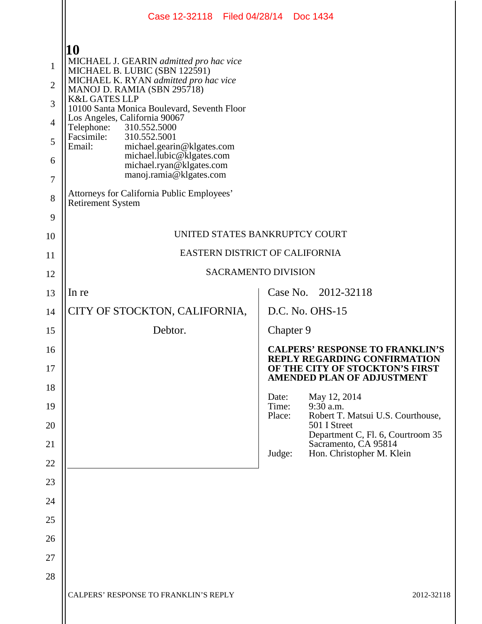|                | Case 12-32118 Filed 04/28/14 Doc 1434                                                        |                |                                                                                                                  |
|----------------|----------------------------------------------------------------------------------------------|----------------|------------------------------------------------------------------------------------------------------------------|
|                |                                                                                              |                |                                                                                                                  |
| $\mathbf{1}$   | 10<br>MICHAEL J. GEARIN admitted pro hac vice                                                |                |                                                                                                                  |
| $\overline{2}$ | MICHAEL B. LUBIC (SBN 122591)<br>MICHAEL K. RYAN admitted pro hac vice                       |                |                                                                                                                  |
| 3              | MANOJ D. RAMIA (SBN 295718)<br><b>K&amp;L GATES LLP</b>                                      |                |                                                                                                                  |
| $\overline{4}$ | 10100 Santa Monica Boulevard, Seventh Floor<br>Los Angeles, California 90067<br>310.552.5000 |                |                                                                                                                  |
| 5              | Telephone:<br>Facsimile:<br>310.552.5001<br>Email:<br>michael.gearin@klgates.com             |                |                                                                                                                  |
| 6              | michael.lubic@klgates.com<br>michael.ryan@klgates.com                                        |                |                                                                                                                  |
| $\overline{7}$ | manoj.ramia@klgates.com                                                                      |                |                                                                                                                  |
| 8              | Attorneys for California Public Employees'<br><b>Retirement System</b>                       |                |                                                                                                                  |
| 9              |                                                                                              |                |                                                                                                                  |
| 10             | UNITED STATES BANKRUPTCY COURT                                                               |                |                                                                                                                  |
| 11             | EASTERN DISTRICT OF CALIFORNIA                                                               |                |                                                                                                                  |
| 12             | <b>SACRAMENTO DIVISION</b>                                                                   |                |                                                                                                                  |
| 13             | In re                                                                                        |                | Case No. 2012-32118                                                                                              |
| 14             | CITY OF STOCKTON, CALIFORNIA,                                                                |                | D.C. No. OHS-15                                                                                                  |
| 15             | Debtor.                                                                                      |                | Chapter 9                                                                                                        |
| 16<br>17       |                                                                                              |                | <b>CALPERS' RESPONSE TO FRANKLIN'S</b><br><b>REPLY REGARDING CONFIRMATION</b><br>OF THE CITY OF STOCKTON'S FIRST |
| 18             |                                                                                              |                | <b>AMENDED PLAN OF ADJUSTMENT</b>                                                                                |
| 19             |                                                                                              | Date:<br>Time: | May 12, 2014<br>9:30 a.m.                                                                                        |
| 20             |                                                                                              | Place:         | Robert T. Matsui U.S. Courthouse,<br>501 I Street<br>Department C, Fl. 6, Courtroom 35                           |
| 21             |                                                                                              | Judge:         | Sacramento, CA 95814<br>Hon. Christopher M. Klein                                                                |
| 22             |                                                                                              |                |                                                                                                                  |
| 23             |                                                                                              |                |                                                                                                                  |
| 24             |                                                                                              |                |                                                                                                                  |
| 25             |                                                                                              |                |                                                                                                                  |
| 26             |                                                                                              |                |                                                                                                                  |
| 27<br>28       |                                                                                              |                |                                                                                                                  |
|                | CALPERS' RESPONSE TO FRANKLIN'S REPLY                                                        |                | 2012-32118                                                                                                       |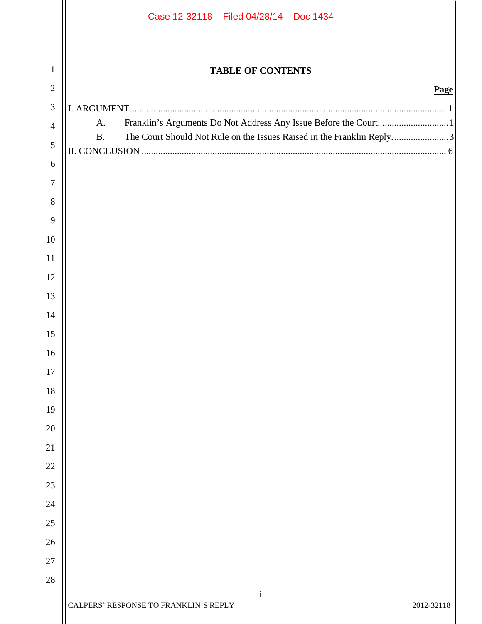|                | Case 12-32118 Filed 04/28/14 Doc 1434                                              |  |
|----------------|------------------------------------------------------------------------------------|--|
|                |                                                                                    |  |
| $\mathbf{1}$   | <b>TABLE OF CONTENTS</b>                                                           |  |
| $\overline{2}$ | Page                                                                               |  |
| $\mathfrak{Z}$ | A.                                                                                 |  |
| $\overline{4}$ | The Court Should Not Rule on the Issues Raised in the Franklin Reply3<br><b>B.</b> |  |
| $\sqrt{5}$     |                                                                                    |  |
| 6              |                                                                                    |  |
| $\overline{7}$ |                                                                                    |  |
| 8<br>9         |                                                                                    |  |
| 10             |                                                                                    |  |
| 11             |                                                                                    |  |
| 12             |                                                                                    |  |
| 13             |                                                                                    |  |
| 14             |                                                                                    |  |
| 15             |                                                                                    |  |
| 16             |                                                                                    |  |
| 17             |                                                                                    |  |
| 18             |                                                                                    |  |
| 19             |                                                                                    |  |
| 20             |                                                                                    |  |
| 21             |                                                                                    |  |
| 22             |                                                                                    |  |
| 23             |                                                                                    |  |
| 24             |                                                                                    |  |
| 25             |                                                                                    |  |
| 26             |                                                                                    |  |
| 27             |                                                                                    |  |
| 28             |                                                                                    |  |
|                | $\mathbf{i}$<br>CALPERS' RESPONSE TO FRANKLIN'S REPLY<br>2012-32118                |  |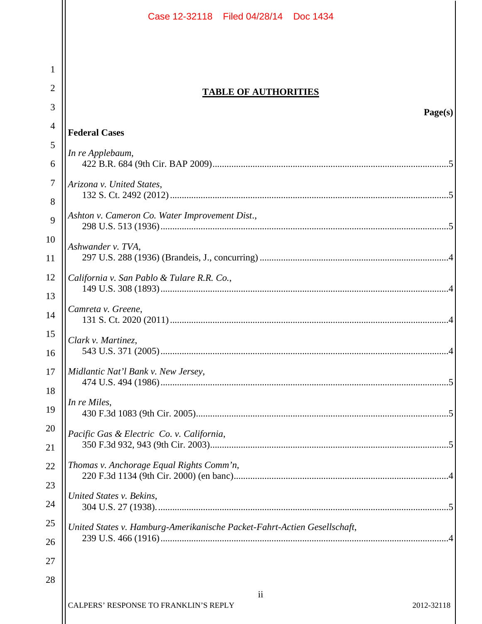|          | Case 12-32118 Filed 04/28/14 Doc 1434                                          |  |  |
|----------|--------------------------------------------------------------------------------|--|--|
|          |                                                                                |  |  |
| 1        |                                                                                |  |  |
| 2        | <b>TABLE OF AUTHORITIES</b>                                                    |  |  |
| 3        | Page(s)                                                                        |  |  |
| 4        | <b>Federal Cases</b>                                                           |  |  |
| 5        |                                                                                |  |  |
| 6        | In re Applebaum,                                                               |  |  |
| 7        | Arizona v. United States,                                                      |  |  |
| 8        |                                                                                |  |  |
| 9        | Ashton v. Cameron Co. Water Improvement Dist.,                                 |  |  |
| 10       | Ashwander v. TVA,                                                              |  |  |
| 11       |                                                                                |  |  |
| 12       | California v. San Pablo & Tulare R.R. Co.,                                     |  |  |
| 13       |                                                                                |  |  |
| 14       | Camreta v. Greene,                                                             |  |  |
| 15<br>16 | Clark v. Martinez,                                                             |  |  |
| 17       | Midlantic Nat'l Bank v. New Jersey,                                            |  |  |
| 18       | In re Miles,                                                                   |  |  |
| 19       |                                                                                |  |  |
| 20       | Pacific Gas & Electric Co. v. California,                                      |  |  |
| 21       |                                                                                |  |  |
| 22       | Thomas v. Anchorage Equal Rights Comm'n,                                       |  |  |
| 23<br>24 | United States v. Bekins,                                                       |  |  |
| 25       |                                                                                |  |  |
| 26       | United States v. Hamburg-Amerikanische Packet-Fahrt-Actien Gesellschaft,       |  |  |
| 27       |                                                                                |  |  |
| 28       |                                                                                |  |  |
|          | $\overline{\mathbf{u}}$<br>CALPERS' RESPONSE TO FRANKLIN'S REPLY<br>2012-32118 |  |  |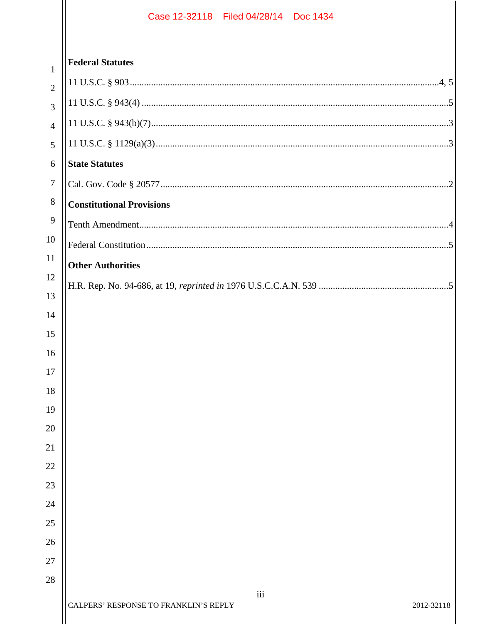|                       | 1               |
|-----------------------|-----------------|
|                       | $\overline{2}$  |
|                       | 3               |
|                       | 4               |
|                       | 5               |
|                       | 6               |
|                       | 7               |
|                       | 8               |
|                       | 9               |
|                       | 10              |
| 1                     | $\mathbf{1}$    |
|                       | 12              |
| $1\overset{\circ}{.}$ | ₹               |
|                       | 14              |
| $\overline{1}$        | 5               |
| 16                    | )               |
|                       | 17              |
| $1^{\mathrm{i}}$      |                 |
|                       | 19              |
|                       | $\overline{20}$ |
| 21                    |                 |
| 22                    |                 |
| 23                    |                 |

| $\mathbf{1}$   | <b>Federal Statutes</b>                      |            |
|----------------|----------------------------------------------|------------|
| $\overline{2}$ |                                              |            |
| $\overline{3}$ |                                              |            |
| $\overline{4}$ |                                              |            |
| 5              |                                              |            |
| 6              | <b>State Statutes</b>                        |            |
| $\tau$         |                                              |            |
| 8              | <b>Constitutional Provisions</b>             |            |
| 9              |                                              |            |
| 10             |                                              |            |
| <sup>11</sup>  | <b>Other Authorities</b>                     |            |
| 12             |                                              |            |
| 13             |                                              |            |
| 14             |                                              |            |
| 15             |                                              |            |
| 16             |                                              |            |
| 17<br>18       |                                              |            |
| 19             |                                              |            |
| 20             |                                              |            |
| 21             |                                              |            |
| 22             |                                              |            |
| 23             |                                              |            |
| 24             |                                              |            |
| 25             |                                              |            |
| 26             |                                              |            |
| 27             |                                              |            |
| 28             |                                              |            |
|                | iii<br>CALPERS' RESPONSE TO FRANKLIN'S REPLY | 2012-32118 |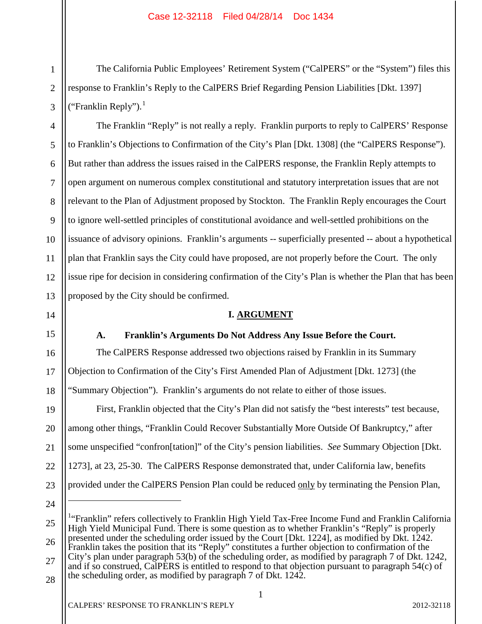The California Public Employees' Retirement System ("CalPERS" or the "System") files this response to Franklin's Reply to the CalPERS Brief Regarding Pension Liabilities [Dkt. 1397] ("Franklin Reply"). $<sup>1</sup>$ </sup>

The Franklin "Reply" is not really a reply. Franklin purports to reply to CalPERS' Response to Franklin's Objections to Confirmation of the City's Plan [Dkt. 1308] (the "CalPERS Response"). But rather than address the issues raised in the CalPERS response, the Franklin Reply attempts to open argument on numerous complex constitutional and statutory interpretation issues that are not relevant to the Plan of Adjustment proposed by Stockton. The Franklin Reply encourages the Court to ignore well-settled principles of constitutional avoidance and well-settled prohibitions on the issuance of advisory opinions. Franklin's arguments -- superficially presented -- about a hypothetical plan that Franklin says the City could have proposed, are not properly before the Court. The only issue ripe for decision in considering confirmation of the City's Plan is whether the Plan that has been proposed by the City should be confirmed.

### **I. ARGUMENT**

### **A. Franklin's Arguments Do Not Address Any Issue Before the Court.**

The CalPERS Response addressed two objections raised by Franklin in its Summary Objection to Confirmation of the City's First Amended Plan of Adjustment [Dkt. 1273] (the "Summary Objection"). Franklin's arguments do not relate to either of those issues.

First, Franklin objected that the City's Plan did not satisfy the "best interests" test because, among other things, "Franklin Could Recover Substantially More Outside Of Bankruptcy," after some unspecified "confron[tation]" of the City's pension liabilities. *See* Summary Objection [Dkt. 1273], at 23, 25-30. The CalPERS Response demonstrated that, under California law, benefits provided under the CalPERS Pension Plan could be reduced only by terminating the Pension Plan,

24

 $\overline{a}$ 

<sup>1</sup>"Franklin" refers collectively to Franklin High Yield Tax-Free Income Fund and Franklin California High Yield Municipal Fund. There is some question as to whether Franklin's "Reply" is properly presented under the scheduling order issued by the Court [Dkt. 1224], as modified by Dkt. 1242. Franklin takes the position that its "Reply" constitutes a further objection to confirmation of the City's plan under paragraph 53(b) of the scheduling order, as modified by paragraph 7 of Dkt. 1242,

28 and if so construed, CalPERS is entitled to respond to that objection pursuant to paragraph 54(c) of the scheduling order, as modified by paragraph 7 of Dkt. 1242.

1

1

2

3

4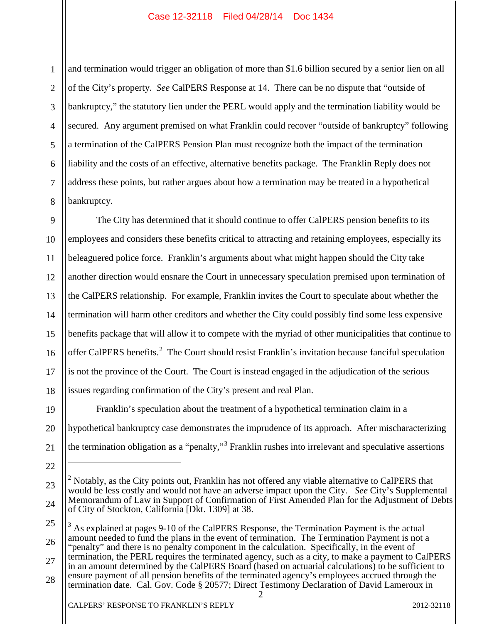1 2 3 4 5 6 7 8 and termination would trigger an obligation of more than \$1.6 billion secured by a senior lien on all of the City's property. *See* CalPERS Response at 14. There can be no dispute that "outside of bankruptcy," the statutory lien under the PERL would apply and the termination liability would be secured. Any argument premised on what Franklin could recover "outside of bankruptcy" following a termination of the CalPERS Pension Plan must recognize both the impact of the termination liability and the costs of an effective, alternative benefits package. The Franklin Reply does not address these points, but rather argues about how a termination may be treated in a hypothetical bankruptcy.

9 10 11 12 13 14 15 16 17 18 The City has determined that it should continue to offer CalPERS pension benefits to its employees and considers these benefits critical to attracting and retaining employees, especially its beleaguered police force. Franklin's arguments about what might happen should the City take another direction would ensnare the Court in unnecessary speculation premised upon termination of the CalPERS relationship. For example, Franklin invites the Court to speculate about whether the termination will harm other creditors and whether the City could possibly find some less expensive benefits package that will allow it to compete with the myriad of other municipalities that continue to offer CalPERS benefits.<sup>2</sup> The Court should resist Franklin's invitation because fanciful speculation is not the province of the Court. The Court is instead engaged in the adjudication of the serious issues regarding confirmation of the City's present and real Plan.

19 20 21 Franklin's speculation about the treatment of a hypothetical termination claim in a hypothetical bankruptcy case demonstrates the imprudence of its approach. After mischaracterizing the termination obligation as a "penalty,"<sup>3</sup> Franklin rushes into irrelevant and speculative assertions

25 26 27 28  $3$  As explained at pages 9-10 of the CalPERS Response, the Termination Payment is the actual amount needed to fund the plans in the event of termination. The Termination Payment is not a "penalty" and there is no penalty component in the calculation. Specifically, in the event of termination, the PERL requires the terminated agency, such as a city, to make a payment to CalPERS in an amount determined by the CalPERS Board (based on actuarial calculations) to be sufficient to ensure payment of all pension benefits of the terminated agency's employees accrued through the termination date. Cal. Gov. Code § 20577; Direct Testimony Declaration of David Lameroux in

 $\mathcal{D}_{\mathcal{L}}$ 

22

 $\overline{a}$ 

<sup>23</sup> 24  $2$  Notably, as the City points out, Franklin has not offered any viable alternative to CalPERS that would be less costly and would not have an adverse impact upon the City. *See* City's Supplemental Memorandum of Law in Support of Confirmation of First Amended Plan for the Adjustment of Debts of City of Stockton, California [Dkt. 1309] at 38.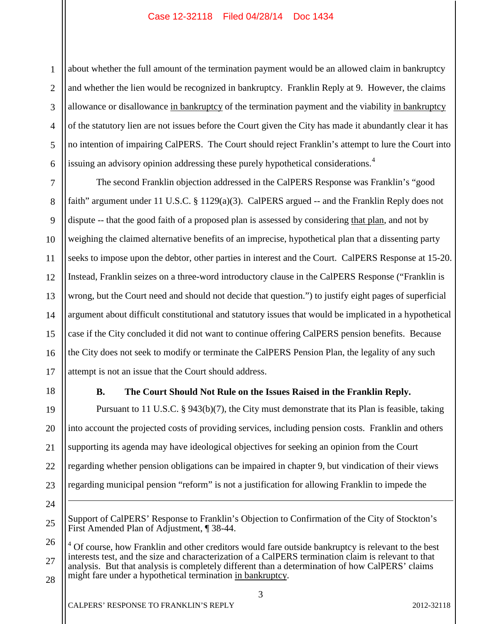1 2 3 4 5 6 about whether the full amount of the termination payment would be an allowed claim in bankruptcy and whether the lien would be recognized in bankruptcy. Franklin Reply at 9. However, the claims allowance or disallowance in bankruptcy of the termination payment and the viability in bankruptcy of the statutory lien are not issues before the Court given the City has made it abundantly clear it has no intention of impairing CalPERS. The Court should reject Franklin's attempt to lure the Court into issuing an advisory opinion addressing these purely hypothetical considerations.<sup>4</sup>

7 8 9 10 11 12 13 14 15 16 17 The second Franklin objection addressed in the CalPERS Response was Franklin's "good faith" argument under 11 U.S.C. § 1129(a)(3). CalPERS argued -- and the Franklin Reply does not dispute -- that the good faith of a proposed plan is assessed by considering that plan, and not by weighing the claimed alternative benefits of an imprecise, hypothetical plan that a dissenting party seeks to impose upon the debtor, other parties in interest and the Court. CalPERS Response at 15-20. Instead, Franklin seizes on a three-word introductory clause in the CalPERS Response ("Franklin is wrong, but the Court need and should not decide that question.") to justify eight pages of superficial argument about difficult constitutional and statutory issues that would be implicated in a hypothetical case if the City concluded it did not want to continue offering CalPERS pension benefits. Because the City does not seek to modify or terminate the CalPERS Pension Plan, the legality of any such attempt is not an issue that the Court should address.

### **B. The Court Should Not Rule on the Issues Raised in the Franklin Reply.**

19 20 21 22 23 Pursuant to 11 U.S.C. § 943(b)(7), the City must demonstrate that its Plan is feasible, taking into account the projected costs of providing services, including pension costs. Franklin and others supporting its agenda may have ideological objectives for seeking an opinion from the Court regarding whether pension obligations can be impaired in chapter 9, but vindication of their views regarding municipal pension "reform" is not a justification for allowing Franklin to impede the  $\overline{a}$ 

24

25

18

26 27 28 <sup>4</sup> Of course, how Franklin and other creditors would fare outside bankruptcy is relevant to the best interests test, and the size and characterization of a CalPERS termination claim is relevant to that analysis. But that analysis is completely different than a determination of how CalPERS' claims might fare under a hypothetical termination in bankruptcy.

CALPERS' RESPONSE TO FRANKLIN'S REPLY 2012-32118

Support of CalPERS' Response to Franklin's Objection to Confirmation of the City of Stockton's First Amended Plan of Adjustment, ¶ 38-44.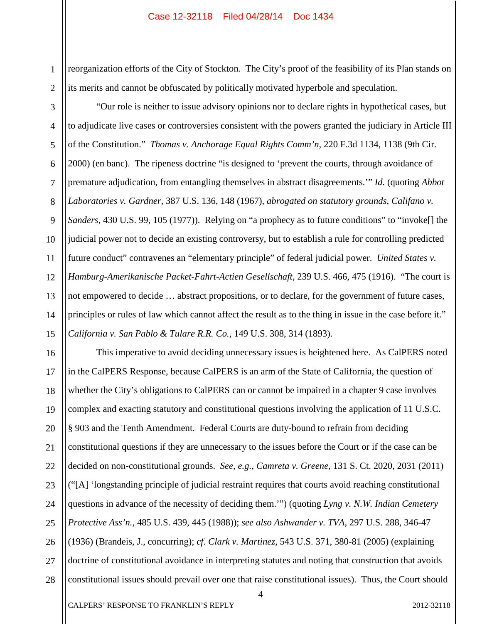1 2 reorganization efforts of the City of Stockton. The City's proof of the feasibility of its Plan stands on its merits and cannot be obfuscated by politically motivated hyperbole and speculation.

3 4 5 6 7 8 9 10 11 12 13 14 15 "Our role is neither to issue advisory opinions nor to declare rights in hypothetical cases, but to adjudicate live cases or controversies consistent with the powers granted the judiciary in Article III of the Constitution." *Thomas v. Anchorage Equal Rights Comm'n*, 220 F.3d 1134, 1138 (9th Cir. 2000) (en banc). The ripeness doctrine "is designed to 'prevent the courts, through avoidance of premature adjudication, from entangling themselves in abstract disagreements.'" *Id*. (quoting *Abbot Laboratories v. Gardner*, 387 U.S. 136, 148 (1967), *abrogated on statutory grounds*, *Califano v. Sanders*, 430 U.S. 99, 105 (1977)). Relying on "a prophecy as to future conditions" to "invoke[] the judicial power not to decide an existing controversy, but to establish a rule for controlling predicted future conduct" contravenes an "elementary principle" of federal judicial power. *United States v. Hamburg-Amerikanische Packet-Fahrt-Actien Gesellschaft*, 239 U.S. 466, 475 (1916). "The court is not empowered to decide … abstract propositions, or to declare, for the government of future cases, principles or rules of law which cannot affect the result as to the thing in issue in the case before it." *California v. San Pablo & Tulare R.R. Co.*, 149 U.S. 308, 314 (1893).

16 17 18 19 20 21 22 23 24 25 26 27 28 This imperative to avoid deciding unnecessary issues is heightened here. As CalPERS noted in the CalPERS Response, because CalPERS is an arm of the State of California, the question of whether the City's obligations to CalPERS can or cannot be impaired in a chapter 9 case involves complex and exacting statutory and constitutional questions involving the application of 11 U.S.C. § 903 and the Tenth Amendment. Federal Courts are duty-bound to refrain from deciding constitutional questions if they are unnecessary to the issues before the Court or if the case can be decided on non-constitutional grounds. *See, e.g.*, *Camreta v. Greene*, 131 S. Ct. 2020, 2031 (2011) ("[A] 'longstanding principle of judicial restraint requires that courts avoid reaching constitutional questions in advance of the necessity of deciding them.'") (quoting *Lyng v. N.W. Indian Cemetery Protective Ass'n.*, 485 U.S. 439, 445 (1988)); *see also Ashwander v. TVA*, 297 U.S. 288, 346-47 (1936) (Brandeis, J., concurring); *cf. Clark v. Martinez*, 543 U.S. 371, 380-81 (2005) (explaining doctrine of constitutional avoidance in interpreting statutes and noting that construction that avoids constitutional issues should prevail over one that raise constitutional issues). Thus, the Court should

4

CALPERS' RESPONSE TO FRANKLIN'S REPLY 2012-32118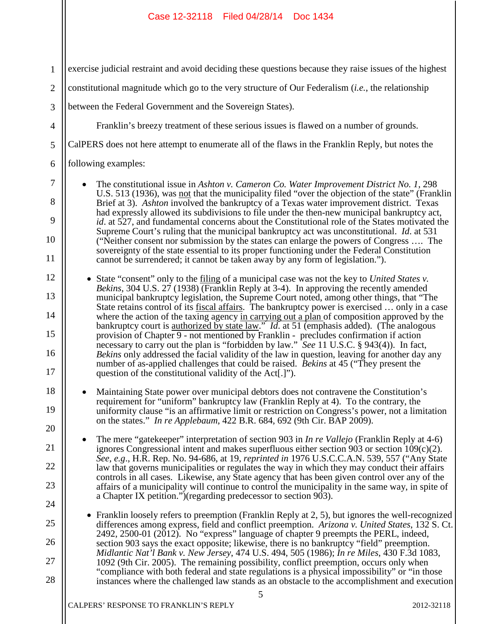| $\mathbf{1}$     | exercise judicial restraint and avoid deciding these questions because they raise issues of the highest                                                                                                                                                                                                                                                                                                                                                                                                                                                                               |
|------------------|---------------------------------------------------------------------------------------------------------------------------------------------------------------------------------------------------------------------------------------------------------------------------------------------------------------------------------------------------------------------------------------------------------------------------------------------------------------------------------------------------------------------------------------------------------------------------------------|
| $\mathbf{2}$     | constitutional magnitude which go to the very structure of Our Federalism <i>(i.e., the relationship</i>                                                                                                                                                                                                                                                                                                                                                                                                                                                                              |
| 3                | between the Federal Government and the Sovereign States).                                                                                                                                                                                                                                                                                                                                                                                                                                                                                                                             |
| $\overline{4}$   | Franklin's breezy treatment of these serious issues is flawed on a number of grounds.                                                                                                                                                                                                                                                                                                                                                                                                                                                                                                 |
| 5                | CalPERS does not here attempt to enumerate all of the flaws in the Franklin Reply, but notes the                                                                                                                                                                                                                                                                                                                                                                                                                                                                                      |
| 6                | following examples:                                                                                                                                                                                                                                                                                                                                                                                                                                                                                                                                                                   |
| $\tau$<br>8<br>9 | The constitutional issue in Ashton v. Cameron Co. Water Improvement District No. 1, 298<br>U.S. 513 (1936), was not that the municipality filed "over the objection of the state" (Franklin<br>Brief at 3). Ashton involved the bankruptcy of a Texas water improvement district. Texas<br>had expressly allowed its subdivisions to file under the then-new municipal bankruptcy act,<br>id. at 527, and fundamental concerns about the Constitutional role of the States motivated the<br>Supreme Court's ruling that the municipal bankruptcy act was unconstitutional. Id. at 531 |
| 10<br>11         | ("Neither consent nor submission by the states can enlarge the powers of Congress  The<br>sovereignty of the state essential to its proper functioning under the Federal Constitution<br>cannot be surrendered; it cannot be taken away by any form of legislation.").                                                                                                                                                                                                                                                                                                                |
| 12<br>13         | • State "consent" only to the filing of a municipal case was not the key to United States v.<br>Bekins, 304 U.S. 27 (1938) (Franklin Reply at 3-4). In approving the recently amended<br>municipal bankruptcy legislation, the Supreme Court noted, among other things, that "The                                                                                                                                                                                                                                                                                                     |
| 14               | State retains control of its fiscal affairs. The bankruptcy power is exercised  only in a case<br>where the action of the taxing agency in carrying out a plan of composition approved by the bankruptcy court is <u>authorized by state law</u> ." <i>Id.</i> at 51 (emphasis added). (The analogous                                                                                                                                                                                                                                                                                 |
| 15<br>16<br>17   | provision of Chapter 9 - not mentioned by Franklin - precludes confirmation if action<br>necessary to carry out the plan is "forbidden by law." See 11 U.S.C. § 943(4)). In fact,<br>Bekins only addressed the facial validity of the law in question, leaving for another day any<br>number of as-applied challenges that could be raised. <i>Bekins</i> at 45 ("They present the<br>question of the constitutional validity of the Act[.]").                                                                                                                                        |
| 18<br>19<br>20   | Maintaining State power over municipal debtors does not contravene the Constitution's<br>requirement for "uniform" bankruptcy law (Franklin Reply at 4). To the contrary, the<br>uniformity clause "is an affirmative limit or restriction on Congress's power, not a limitation<br>on the states." In re Applebaum, 422 B.R. 684, 692 (9th Cir. BAP 2009).                                                                                                                                                                                                                           |
| 21               | The mere "gatekeeper" interpretation of section 903 in <i>In re Vallejo</i> (Franklin Reply at 4-6)<br>ignores Congressional intent and makes superfluous either section 903 or section $109(c)(2)$ .                                                                                                                                                                                                                                                                                                                                                                                 |
| 22               | See, e.g., H.R. Rep. No. 94-686, at 19, reprinted in 1976 U.S.C.C.A.N. 539, 557 ("Any State"<br>law that governs municipalities or regulates the way in which they may conduct their affairs                                                                                                                                                                                                                                                                                                                                                                                          |
| 23               | controls in all cases. Likewise, any State agency that has been given control over any of the<br>affairs of a municipality will continue to control the municipality in the same way, in spite of                                                                                                                                                                                                                                                                                                                                                                                     |
| 24               | a Chapter IX petition.")(regarding predecessor to section 903).                                                                                                                                                                                                                                                                                                                                                                                                                                                                                                                       |
| 25               | Franklin loosely refers to preemption (Franklin Reply at 2, 5), but ignores the well-recognized<br>differences among express, field and conflict preemption. Arizona v. United States, 132 S. Ct.<br>2492, 2500-01 (2012). No "express" language of chapter 9 preempts the PERL, indeed,                                                                                                                                                                                                                                                                                              |
| 26<br>27         | section 903 says the exact opposite; likewise, there is no bankruptcy "field" preemption.<br>Midlantic Nat'l Bank v. New Jersey, 474 U.S. 494, 505 (1986); In re Miles, 430 F.3d 1083,<br>1092 (9th Cir. 2005). The remaining possibility, conflict preemption, occurs only when                                                                                                                                                                                                                                                                                                      |
| 28               | "compliance with both federal and state regulations is a physical impossibility" or "in those<br>instances where the challenged law stands as an obstacle to the accomplishment and execution                                                                                                                                                                                                                                                                                                                                                                                         |
|                  | 5                                                                                                                                                                                                                                                                                                                                                                                                                                                                                                                                                                                     |

 $\mathcal{L}$